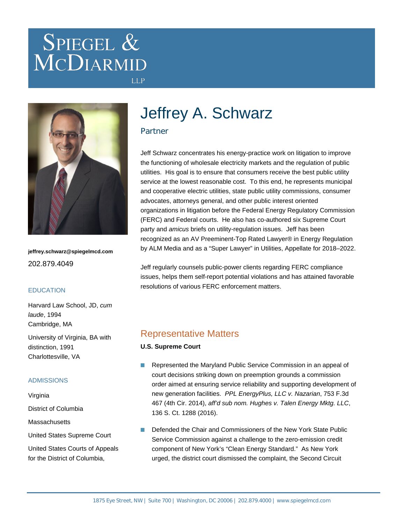# SPIEGEL & MCDIARMID



**jeffrey.schwarz@spiegelmcd.com** 202.879.4049

#### **EDUCATION**

Harvard Law School, JD, cum laude, 1994 Cambridge, MA

University of Virginia, BA with distinction, 1991 Charlottesville, VA

#### ADMISSIONS

Virginia

District of Columbia

**Massachusetts** 

United States Supreme Court

United States Courts of Appeals for the District of Columbia,

## Jeffrey A. Schwarz

#### Partner

**LLP** 

Jeff Schwarz concentrates his energy-practice work on litigation to improve the functioning of wholesale electricity markets and the regulation of public utilities. His goal is to ensure that consumers receive the best public utility service at the lowest reasonable cost. To this end, he represents municipal and cooperative electric utilities, state public utility commissions, consumer advocates, attorneys general, and other public interest oriented organizations in litigation before the Federal Energy Regulatory Commission (FERC) and Federal courts. He also has co-authored six Supreme Court party and amicus briefs on utility-regulation issues. Jeff has been recognized as an AV Preeminent-Top Rated Lawyer® in Energy Regulation by ALM Media and as a "Super Lawyer" in Utilities, Appellate for 2018–2022.

Jeff regularly counsels public-power clients regarding FERC compliance issues, helps them self-report potential violations and has attained favorable resolutions of various FERC enforcement matters.

## Representative Matters

**U.S. Supreme Court**

- $\overline{\phantom{a}}$ Represented the Maryland Public Service Commission in an appeal of court decisions striking down on preemption grounds a commission order aimed at ensuring service reliability and supporting development of new generation facilities. PPL EnergyPlus, LLC v. Nazarian, 753 F.3d 467 (4th Cir. 2014), aff'd sub nom. Hughes v. Talen Energy Mktg. LLC, 136 S. Ct. 1288 (2016).
- Defended the Chair and Commissioners of the New York State Public  $\overline{\mathbb{R}^n}$ Service Commission against a challenge to the zero-emission credit component of New York's "Clean Energy Standard." As New York urged, the district court dismissed the complaint, the Second Circuit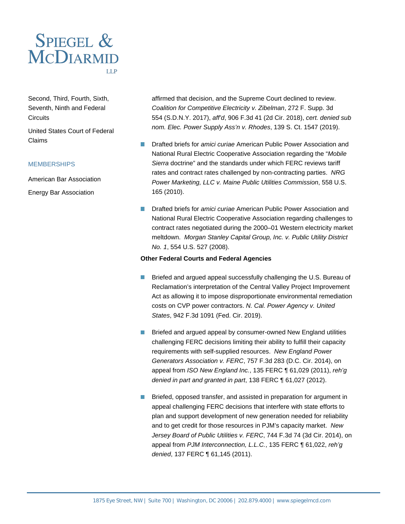

Second, Third, Fourth, Sixth, Seventh, Ninth and Federal **Circuits** 

United States Court of Federal Claims

#### **MEMBERSHIPS**

American Bar Association Energy Bar Association

affirmed that decision, and the Supreme Court declined to review. Coalition for Competitive Electricity v. Zibelman, 272 F. Supp. 3d 554 (S.D.N.Y. 2017), aff'd, 906 F.3d 41 (2d Cir. 2018), cert. denied sub nom. Elec. Power Supply Ass'n v. Rhodes, 139 S. Ct. 1547 (2019).

- **Drafted briefs for** *amici curiae* American Public Power Association and National Rural Electric Cooperative Association regarding the "Mobile Sierra doctrine" and the standards under which FERC reviews tariff rates and contract rates challenged by non-contracting parties. NRG Power Marketing, LLC v. Maine Public Utilities Commission, 558 U.S. 165 (2010).
- Drafted briefs for amici curiae American Public Power Association and  $\mathcal{L}_{\mathcal{A}}$ National Rural Electric Cooperative Association regarding challenges to contract rates negotiated during the 2000–01 Western electricity market meltdown. Morgan Stanley Capital Group, Inc. v. Public Utility District No. 1, 554 U.S. 527 (2008).

#### **Other Federal Courts and Federal Agencies**

- Briefed and argued appeal successfully challenging the U.S. Bureau of Reclamation's interpretation of the Central Valley Project Improvement Act as allowing it to impose disproportionate environmental remediation costs on CVP power contractors. N. Cal. Power Agency v. United States, 942 F.3d 1091 (Fed. Cir. 2019).
- **Briefed and argued appeal by consumer-owned New England utilities** challenging FERC decisions limiting their ability to fulfill their capacity requirements with self-supplied resources. New England Power Generators Association v. FERC, 757 F.3d 283 (D.C. Cir. 2014), on appeal from ISO New England Inc., 135 FERC ¶ 61,029 (2011), reh'g denied in part and granted in part, 138 FERC ¶ 61,027 (2012).
- $\mathcal{L}^{\mathcal{L}}$ Briefed, opposed transfer, and assisted in preparation for argument in appeal challenging FERC decisions that interfere with state efforts to plan and support development of new generation needed for reliability and to get credit for those resources in PJM's capacity market. New Jersey Board of Public Utilities v. FERC, 744 F.3d 74 (3d Cir. 2014), on appeal from PJM Interconnection, L.L.C., 135 FERC ¶ 61,022, reh'g denied, 137 FERC ¶ 61,145 (2011).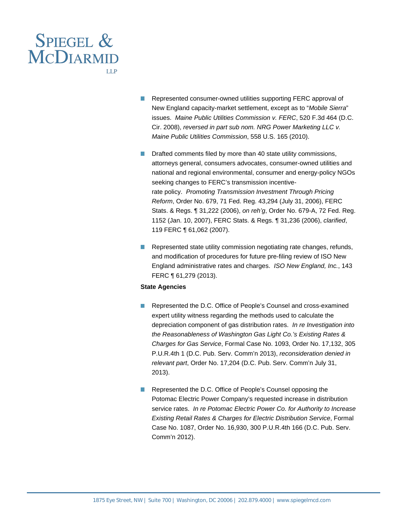

- Represented consumer-owned utilities supporting FERC approval of **Tale** New England capacity-market settlement, except as to "Mobile Sierra" issues. Maine Public Utilities Commission v. FERC, 520 F.3d 464 (D.C. Cir. 2008), reversed in part sub nom. NRG Power Marketing LLC v. Maine Public Utilities Commission, 558 U.S. 165 (2010).
- Drafted comments filed by more than 40 state utility commissions, attorneys general, consumers advocates, consumer-owned utilities and national and regional environmental, consumer and energy-policy NGOs seeking changes to FERC's transmission incentiverate policy. Promoting Transmission Investment Through Pricing Reform, Order No. 679, 71 Fed. Reg. 43,294 (July 31, 2006), FERC Stats. & Regs. ¶ 31,222 (2006), on reh'g, Order No. 679-A, 72 Fed. Reg. 1152 (Jan. 10, 2007), FERC Stats. & Regs. ¶ 31,236 (2006), clarified, 119 FERC ¶ 61,062 (2007).
- Represented state utility commission negotiating rate changes, refunds, and modification of procedures for future pre-filing review of ISO New England administrative rates and charges. ISO New England, Inc., 143 FERC ¶ 61,279 (2013).

#### **State Agencies**

- Represented the D.C. Office of People's Counsel and cross-examined  $\overline{\phantom{a}}$ expert utility witness regarding the methods used to calculate the depreciation component of gas distribution rates. In re Investigation into the Reasonableness of Washington Gas Light Co.'s Existing Rates & Charges for Gas Service, Formal Case No. 1093, Order No. 17,132, 305 P.U.R.4th 1 (D.C. Pub. Serv. Comm'n 2013), reconsideration denied in relevant part, Order No. 17,204 (D.C. Pub. Serv. Comm'n July 31, 2013).
- Represented the D.C. Office of People's Counsel opposing the Potomac Electric Power Company's requested increase in distribution service rates. In re Potomac Electric Power Co. for Authority to Increase Existing Retail Rates & Charges for Electric Distribution Service, Formal Case No. 1087, Order No. 16,930, 300 P.U.R.4th 166 (D.C. Pub. Serv. Comm'n 2012).